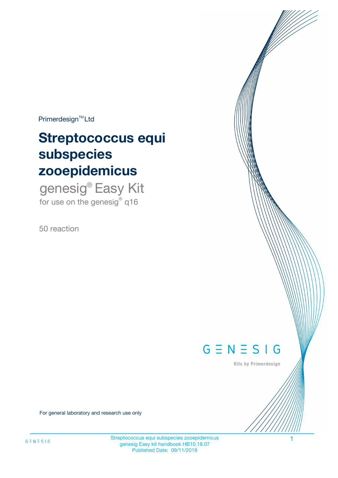$Primerdesign^{\text{TM}}Ltd$ 

# **Streptococcus equi subspecies zooepidemicus**

genesig® Easy Kit for use on the genesig $^{\circ}$  q16

50 reaction



Kits by Primerdesign

For general laboratory and research use only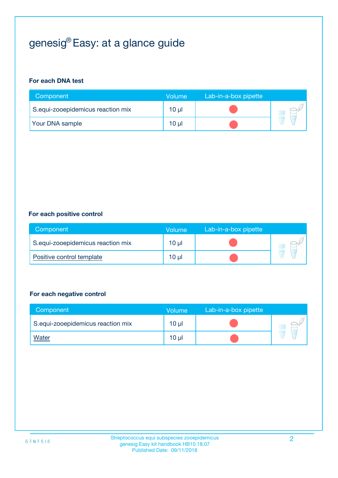## genesig® Easy: at a glance guide

#### **For each DNA test**

| Component                         | <b>Volume</b>   | Lab-in-a-box pipette |  |
|-----------------------------------|-----------------|----------------------|--|
| S.equi-zooepidemicus reaction mix | 10 <sub>µ</sub> |                      |  |
| <b>Your DNA sample</b>            | 10 µl           |                      |  |

#### **For each positive control**

| Component                         | Volume          | Lab-in-a-box pipette |  |
|-----------------------------------|-----------------|----------------------|--|
| S.equi-zooepidemicus reaction mix | 10 <sub>µ</sub> |                      |  |
| Positive control template         | $10 \mu$        |                      |  |

#### **For each negative control**

| Component                         | Volume          | Lab-in-a-box pipette |  |
|-----------------------------------|-----------------|----------------------|--|
| S.equi-zooepidemicus reaction mix | 10 <sub>µ</sub> |                      |  |
| <u>Water</u>                      | 10 <sub>µ</sub> |                      |  |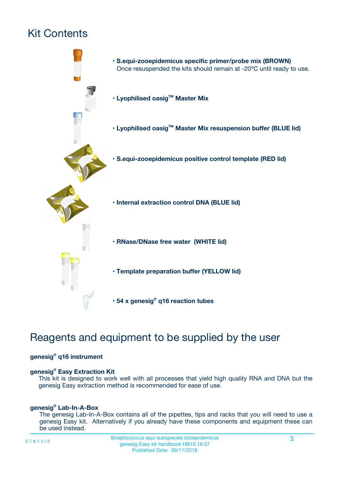## Kit Contents



## Reagents and equipment to be supplied by the user

#### **genesig® q16 instrument**

#### **genesig® Easy Extraction Kit**

This kit is designed to work well with all processes that yield high quality RNA and DNA but the genesig Easy extraction method is recommended for ease of use.

#### **genesig® Lab-In-A-Box**

The genesig Lab-In-A-Box contains all of the pipettes, tips and racks that you will need to use a genesig Easy kit. Alternatively if you already have these components and equipment these can be used instead.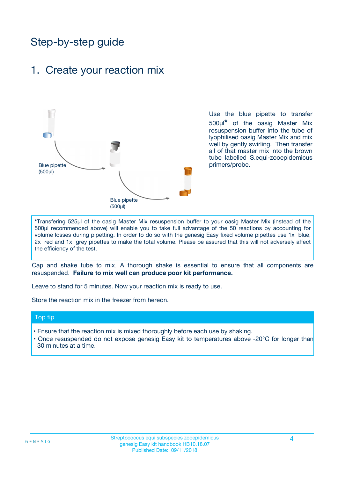## Step-by-step guide

### 1. Create your reaction mix



Use the blue pipette to transfer 500µl**\*** of the oasig Master Mix resuspension buffer into the tube of lyophilised oasig Master Mix and mix well by gently swirling. Then transfer all of that master mix into the brown tube labelled S.equi-zooepidemicus primers/probe.

**\***Transfering 525µl of the oasig Master Mix resuspension buffer to your oasig Master Mix (instead of the 500µl recommended above) will enable you to take full advantage of the 50 reactions by accounting for volume losses during pipetting. In order to do so with the genesig Easy fixed volume pipettes use 1x blue, 2x red and 1x grey pipettes to make the total volume. Please be assured that this will not adversely affect the efficiency of the test.

Cap and shake tube to mix. A thorough shake is essential to ensure that all components are resuspended. **Failure to mix well can produce poor kit performance.**

Leave to stand for 5 minutes. Now your reaction mix is ready to use.

Store the reaction mix in the freezer from hereon.

#### Top tip

- Ensure that the reaction mix is mixed thoroughly before each use by shaking.
- **•** Once resuspended do not expose genesig Easy kit to temperatures above -20°C for longer than 30 minutes at a time.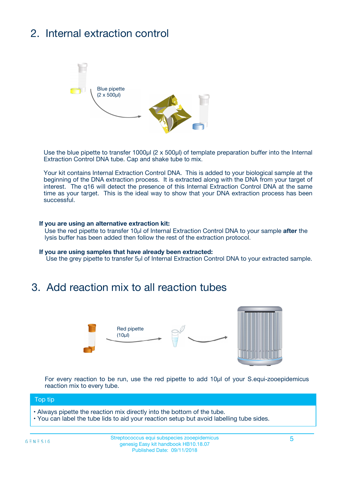## 2. Internal extraction control



Use the blue pipette to transfer 1000µl (2 x 500µl) of template preparation buffer into the Internal Extraction Control DNA tube. Cap and shake tube to mix.

Your kit contains Internal Extraction Control DNA. This is added to your biological sample at the beginning of the DNA extraction process. It is extracted along with the DNA from your target of interest. The q16 will detect the presence of this Internal Extraction Control DNA at the same time as your target. This is the ideal way to show that your DNA extraction process has been successful.

#### **If you are using an alternative extraction kit:**

Use the red pipette to transfer 10µl of Internal Extraction Control DNA to your sample **after** the lysis buffer has been added then follow the rest of the extraction protocol.

#### **If you are using samples that have already been extracted:**

Use the grey pipette to transfer 5µl of Internal Extraction Control DNA to your extracted sample.

### 3. Add reaction mix to all reaction tubes



For every reaction to be run, use the red pipette to add 10µl of your S.equi-zooepidemicus reaction mix to every tube.

#### Top tip

**•** Always pipette the reaction mix directly into the bottom of the tube.

• You can label the tube lids to aid your reaction setup but avoid labelling tube sides.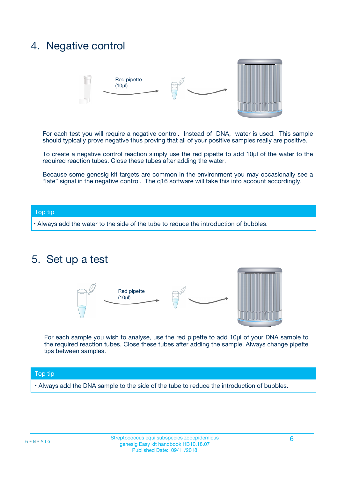### 4. Negative control



For each test you will require a negative control. Instead of DNA, water is used. This sample should typically prove negative thus proving that all of your positive samples really are positive.

To create a negative control reaction simply use the red pipette to add 10µl of the water to the required reaction tubes. Close these tubes after adding the water.

Because some genesig kit targets are common in the environment you may occasionally see a "late" signal in the negative control. The q16 software will take this into account accordingly.

#### Top tip

**•** Always add the water to the side of the tube to reduce the introduction of bubbles.

### 5. Set up a test



For each sample you wish to analyse, use the red pipette to add 10µl of your DNA sample to the required reaction tubes. Close these tubes after adding the sample. Always change pipette tips between samples.

#### Top tip

**•** Always add the DNA sample to the side of the tube to reduce the introduction of bubbles.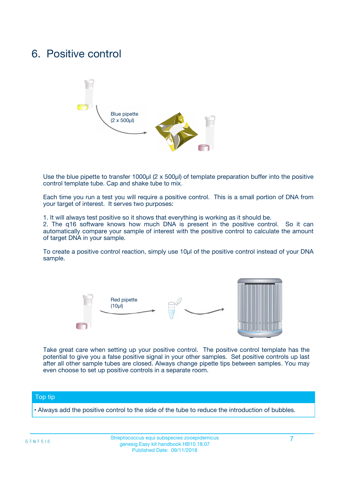### 6. Positive control



Use the blue pipette to transfer 1000µl (2 x 500µl) of template preparation buffer into the positive control template tube. Cap and shake tube to mix.

Each time you run a test you will require a positive control. This is a small portion of DNA from your target of interest. It serves two purposes:

1. It will always test positive so it shows that everything is working as it should be.

2. The q16 software knows how much DNA is present in the positive control. So it can automatically compare your sample of interest with the positive control to calculate the amount of target DNA in your sample.

To create a positive control reaction, simply use 10µl of the positive control instead of your DNA sample.



Take great care when setting up your positive control. The positive control template has the potential to give you a false positive signal in your other samples. Set positive controls up last after all other sample tubes are closed. Always change pipette tips between samples. You may even choose to set up positive controls in a separate room.

#### Top tip

**•** Always add the positive control to the side of the tube to reduce the introduction of bubbles.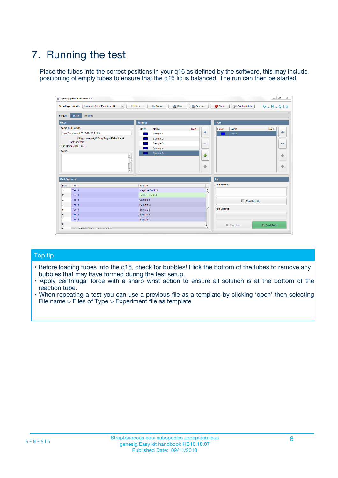## 7. Running the test

Place the tubes into the correct positions in your q16 as defined by the software, this may include positioning of empty tubes to ensure that the q16 lid is balanced. The run can then be started.

|                      | genesig q16 PCR software - 1.2                                               |                                |                              |                                          | $\begin{array}{c c c c} \hline \multicolumn{3}{c }{\textbf{0}} & \multicolumn{3}{c }{\textbf{0}} \end{array}$<br>$\Sigma\!3$ |
|----------------------|------------------------------------------------------------------------------|--------------------------------|------------------------------|------------------------------------------|------------------------------------------------------------------------------------------------------------------------------|
|                      | $\vert \cdot \vert$<br><b>Open Experiments:</b><br>Unsaved (New Experiment 2 | Open<br>Save<br>$\sqrt{9}$ New | Save As                      | <b>C</b> Close<br><b>X</b> Configuration | $G \equiv N \equiv S \mid G$                                                                                                 |
| <b>Stages:</b>       | Setup<br><b>Results</b>                                                      |                                |                              |                                          |                                                                                                                              |
| <b>Notes</b>         |                                                                              | <b>Samples</b>                 |                              | <b>Tests</b>                             |                                                                                                                              |
|                      | <b>Name and Details</b>                                                      | Color<br>Name                  | Note                         | Color<br>Name                            | Note                                                                                                                         |
|                      | New Experiment 2017-10-26 11:06                                              | Sample 1                       | ÷                            | Test 1                                   | ÷                                                                                                                            |
|                      | Kit type: genesig® Easy Target Detection kit                                 | Sample 2                       |                              |                                          |                                                                                                                              |
|                      | Instrument Id.:                                                              | Sample 3                       | $\qquad \qquad \blacksquare$ |                                          | $\qquad \qquad \blacksquare$                                                                                                 |
|                      | <b>Run Completion Time:</b>                                                  | Sample 4                       |                              |                                          |                                                                                                                              |
| <b>Notes</b>         | <b>A</b><br>v                                                                | Sample 5                       | $\triangle$<br>$\oplus$      |                                          | 4<br>₩                                                                                                                       |
| <b>Well Contents</b> |                                                                              |                                |                              | Run                                      |                                                                                                                              |
| Pos.                 | Test                                                                         | Sample                         |                              | <b>Run Status</b>                        |                                                                                                                              |
| $\overline{1}$       | Test 1                                                                       | <b>Negative Control</b>        | $\blacktriangle$             |                                          |                                                                                                                              |
| $\overline{2}$       | Test 1                                                                       | <b>Positive Control</b>        |                              |                                          |                                                                                                                              |
| 3                    | Test 1                                                                       | Sample 1                       |                              | Show full log                            |                                                                                                                              |
| $\overline{4}$       | Test 1                                                                       | Sample 2                       |                              |                                          |                                                                                                                              |
| 5                    | Test 1                                                                       | Sample 3                       |                              | <b>Run Control</b>                       |                                                                                                                              |
| 6                    | Test 1                                                                       | Sample 4                       |                              |                                          |                                                                                                                              |
| $\overline{7}$       | Test 1                                                                       | Sample 5                       |                              |                                          |                                                                                                                              |
| -8                   |                                                                              |                                |                              | Abort Run                                | $\triangleright$ Start Run                                                                                                   |
|                      | <b>JOB FURTY TURE TO BULLMAR LIB</b>                                         |                                | $\overline{\mathbf{v}}$      |                                          |                                                                                                                              |

#### Top tip

- Before loading tubes into the q16, check for bubbles! Flick the bottom of the tubes to remove any bubbles that may have formed during the test setup.
- Apply centrifugal force with a sharp wrist action to ensure all solution is at the bottom of the reaction tube.
- When repeating a test you can use a previous file as a template by clicking 'open' then selecting File name > Files of Type > Experiment file as template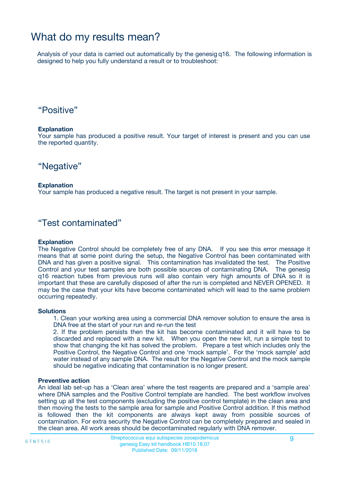### What do my results mean?

Analysis of your data is carried out automatically by the genesig q16. The following information is designed to help you fully understand a result or to troubleshoot:

### "Positive"

#### **Explanation**

Your sample has produced a positive result. Your target of interest is present and you can use the reported quantity.

"Negative"

#### **Explanation**

Your sample has produced a negative result. The target is not present in your sample.

### "Test contaminated"

#### **Explanation**

The Negative Control should be completely free of any DNA. If you see this error message it means that at some point during the setup, the Negative Control has been contaminated with DNA and has given a positive signal. This contamination has invalidated the test. The Positive Control and your test samples are both possible sources of contaminating DNA. The genesig q16 reaction tubes from previous runs will also contain very high amounts of DNA so it is important that these are carefully disposed of after the run is completed and NEVER OPENED. It may be the case that your kits have become contaminated which will lead to the same problem occurring repeatedly.

#### **Solutions**

1. Clean your working area using a commercial DNA remover solution to ensure the area is DNA free at the start of your run and re-run the test

2. If the problem persists then the kit has become contaminated and it will have to be discarded and replaced with a new kit. When you open the new kit, run a simple test to show that changing the kit has solved the problem. Prepare a test which includes only the Positive Control, the Negative Control and one 'mock sample'. For the 'mock sample' add water instead of any sample DNA. The result for the Negative Control and the mock sample should be negative indicating that contamination is no longer present.

#### **Preventive action**

An ideal lab set-up has a 'Clean area' where the test reagents are prepared and a 'sample area' where DNA samples and the Positive Control template are handled. The best workflow involves setting up all the test components (excluding the positive control template) in the clean area and then moving the tests to the sample area for sample and Positive Control addition. If this method is followed then the kit components are always kept away from possible sources of contamination. For extra security the Negative Control can be completely prepared and sealed in the clean area. All work areas should be decontaminated regularly with DNA remover.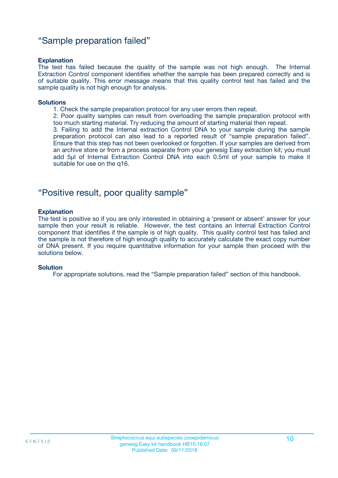### "Sample preparation failed"

#### **Explanation**

The test has failed because the quality of the sample was not high enough. The Internal Extraction Control component identifies whether the sample has been prepared correctly and is of suitable quality. This error message means that this quality control test has failed and the sample quality is not high enough for analysis.

#### **Solutions**

1. Check the sample preparation protocol for any user errors then repeat.

2. Poor quality samples can result from overloading the sample preparation protocol with too much starting material. Try reducing the amount of starting material then repeat.

3. Failing to add the Internal extraction Control DNA to your sample during the sample preparation protocol can also lead to a reported result of "sample preparation failed". Ensure that this step has not been overlooked or forgotten. If your samples are derived from an archive store or from a process separate from your genesig Easy extraction kit; you must add 5µl of Internal Extraction Control DNA into each 0.5ml of your sample to make it suitable for use on the q16.

### "Positive result, poor quality sample"

#### **Explanation**

The test is positive so if you are only interested in obtaining a 'present or absent' answer for your sample then your result is reliable. However, the test contains an Internal Extraction Control component that identifies if the sample is of high quality. This quality control test has failed and the sample is not therefore of high enough quality to accurately calculate the exact copy number of DNA present. If you require quantitative information for your sample then proceed with the solutions below.

#### **Solution**

For appropriate solutions, read the "Sample preparation failed" section of this handbook.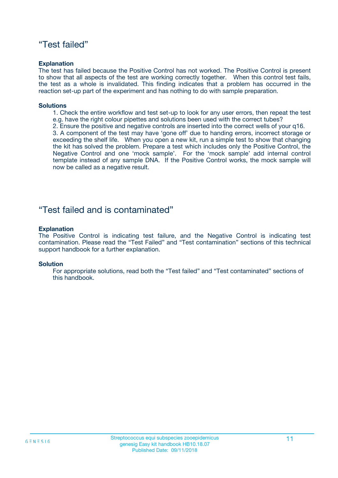### "Test failed"

#### **Explanation**

The test has failed because the Positive Control has not worked. The Positive Control is present to show that all aspects of the test are working correctly together. When this control test fails, the test as a whole is invalidated. This finding indicates that a problem has occurred in the reaction set-up part of the experiment and has nothing to do with sample preparation.

#### **Solutions**

- 1. Check the entire workflow and test set-up to look for any user errors, then repeat the test e.g. have the right colour pipettes and solutions been used with the correct tubes?
- 2. Ensure the positive and negative controls are inserted into the correct wells of your q16.

3. A component of the test may have 'gone off' due to handing errors, incorrect storage or exceeding the shelf life. When you open a new kit, run a simple test to show that changing the kit has solved the problem. Prepare a test which includes only the Positive Control, the Negative Control and one 'mock sample'. For the 'mock sample' add internal control template instead of any sample DNA. If the Positive Control works, the mock sample will now be called as a negative result.

### "Test failed and is contaminated"

#### **Explanation**

The Positive Control is indicating test failure, and the Negative Control is indicating test contamination. Please read the "Test Failed" and "Test contamination" sections of this technical support handbook for a further explanation.

#### **Solution**

For appropriate solutions, read both the "Test failed" and "Test contaminated" sections of this handbook.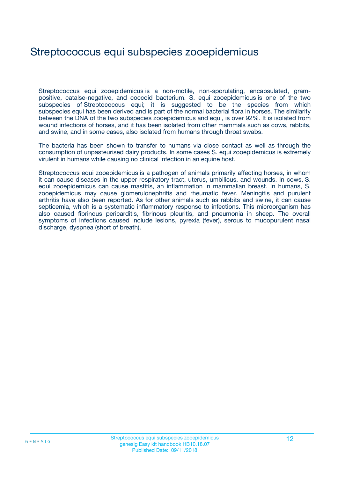### Streptococcus equi subspecies zooepidemicus

Streptococcus equi zooepidemicus is a non-motile, non-sporulating, encapsulated, grampositive, catalse-negative, and coccoid bacterium. S. equi zooepidemicus is one of the two subspecies of Streptococcus equi; it is suggested to be the species from which subspecies equi has been derived and is part of the normal bacterial flora in horses. The similarity between the DNA of the two subspecies zooepidemicus and equi, is over 92%. It is isolated from wound infections of horses, and it has been isolated from other mammals such as cows, rabbits, and swine, and in some cases, also isolated from humans through throat swabs.

The bacteria has been shown to transfer to humans via close contact as well as through the consumption of unpasteurised dairy products. In some cases S. equi zooepidemicus is extremely virulent in humans while causing no clinical infection in an equine host.

Streptococcus equi zooepidemicus is a pathogen of animals primarily affecting horses, in whom it can cause diseases in the upper respiratory tract, uterus, umbilicus, and wounds. In cows, S. equi zooepidemicus can cause mastitis, an inflammation in mammalian breast. In humans, S. zooepidemicus may cause glomerulonephritis and rheumatic fever. Meningitis and purulent arthritis have also been reported. As for other animals such as rabbits and swine, it can cause septicemia, which is a systematic inflammatory response to infections. This microorganism has also caused fibrinous pericarditis, fibrinous pleuritis, and pneumonia in sheep. The overall symptoms of infections caused include lesions, pyrexia (fever), serous to mucopurulent nasal discharge, dyspnea (short of breath).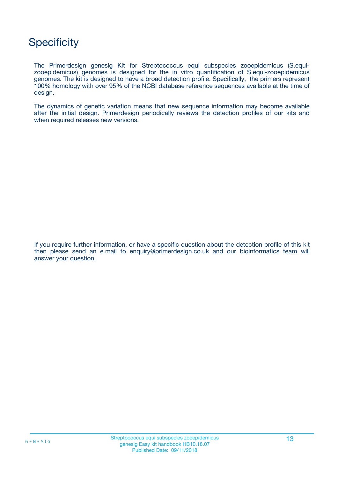### **Specificity**

The Primerdesign genesig Kit for Streptococcus equi subspecies zooepidemicus (S.equizooepidemicus) genomes is designed for the in vitro quantification of S.equi-zooepidemicus genomes. The kit is designed to have a broad detection profile. Specifically, the primers represent 100% homology with over 95% of the NCBI database reference sequences available at the time of design.

The dynamics of genetic variation means that new sequence information may become available after the initial design. Primerdesign periodically reviews the detection profiles of our kits and when required releases new versions.

If you require further information, or have a specific question about the detection profile of this kit then please send an e.mail to enquiry@primerdesign.co.uk and our bioinformatics team will answer your question.